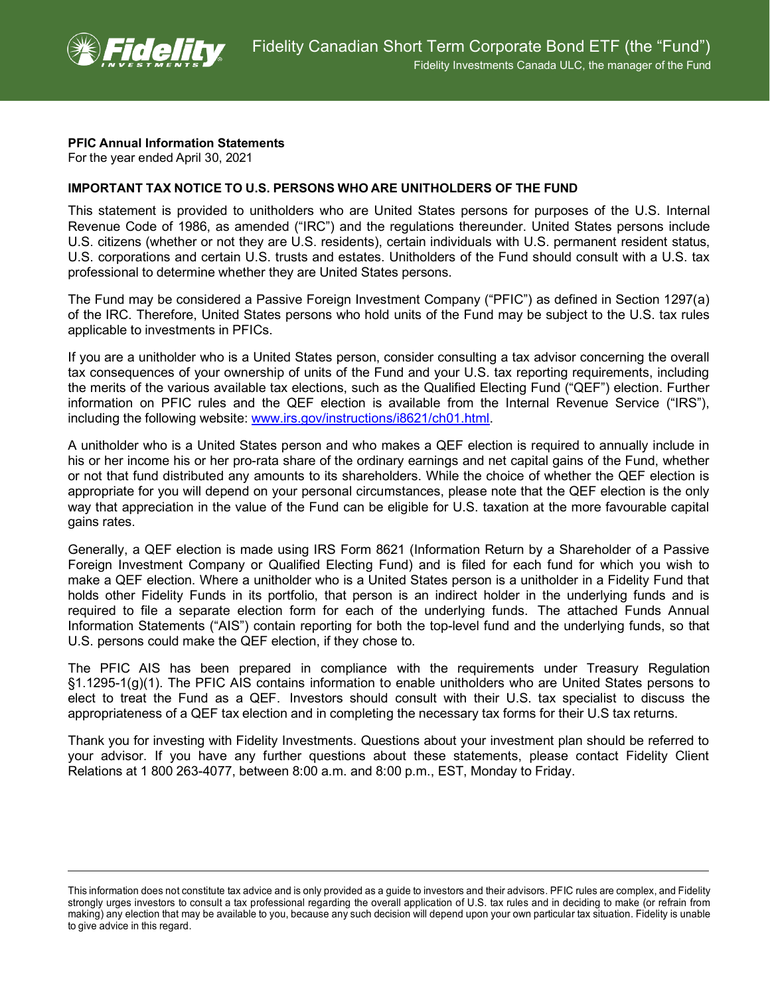

## **PFIC Annual Information Statements**

For the year ended April 30, 2021

## **IMPORTANT TAX NOTICE TO U.S. PERSONS WHO ARE UNITHOLDERS OF THE FUND**

This statement is provided to unitholders who are United States persons for purposes of the U.S. Internal Revenue Code of 1986, as amended ("IRC") and the regulations thereunder. United States persons include U.S. citizens (whether or not they are U.S. residents), certain individuals with U.S. permanent resident status, U.S. corporations and certain U.S. trusts and estates. Unitholders of the Fund should consult with a U.S. tax professional to determine whether they are United States persons.

The Fund may be considered a Passive Foreign Investment Company ("PFIC") as defined in Section 1297(a) of the IRC. Therefore, United States persons who hold units of the Fund may be subject to the U.S. tax rules applicable to investments in PFICs.

If you are a unitholder who is a United States person, consider consulting a tax advisor concerning the overall tax consequences of your ownership of units of the Fund and your U.S. tax reporting requirements, including the merits of the various available tax elections, such as the Qualified Electing Fund ("QEF") election. Further information on PFIC rules and the QEF election is available from the Internal Revenue Service ("IRS"), including the following website: [www.irs.gov/instructions/i8621/ch01.html.](http://www.irs.gov/instructions/i8621/ch01.html)

A unitholder who is a United States person and who makes a QEF election is required to annually include in his or her income his or her pro-rata share of the ordinary earnings and net capital gains of the Fund, whether or not that fund distributed any amounts to its shareholders. While the choice of whether the QEF election is appropriate for you will depend on your personal circumstances, please note that the QEF election is the only way that appreciation in the value of the Fund can be eligible for U.S. taxation at the more favourable capital gains rates.

Generally, a QEF election is made using IRS Form 8621 (Information Return by a Shareholder of a Passive Foreign Investment Company or Qualified Electing Fund) and is filed for each fund for which you wish to make a QEF election. Where a unitholder who is a United States person is a unitholder in a Fidelity Fund that holds other Fidelity Funds in its portfolio, that person is an indirect holder in the underlying funds and is required to file a separate election form for each of the underlying funds. The attached Funds Annual Information Statements ("AIS") contain reporting for both the top-level fund and the underlying funds, so that U.S. persons could make the QEF election, if they chose to.

The PFIC AIS has been prepared in compliance with the requirements under Treasury Regulation §1.1295-1(g)(1). The PFIC AIS contains information to enable unitholders who are United States persons to elect to treat the Fund as a QEF. Investors should consult with their U.S. tax specialist to discuss the appropriateness of a QEF tax election and in completing the necessary tax forms for their U.S tax returns.

Thank you for investing with Fidelity Investments. Questions about your investment plan should be referred to your advisor. If you have any further questions about these statements, please contact Fidelity Client Relations at 1 800 263-4077, between 8:00 a.m. and 8:00 p.m., EST, Monday to Friday.

This information does not constitute tax advice and is only provided as a guide to investors and their advisors. PFIC rules are complex, and Fidelity strongly urges investors to consult a tax professional regarding the overall application of U.S. tax rules and in deciding to make (or refrain from making) any election that may be available to you, because any such decision will depend upon your own particular tax situation. Fidelity is unable to give advice in this regard.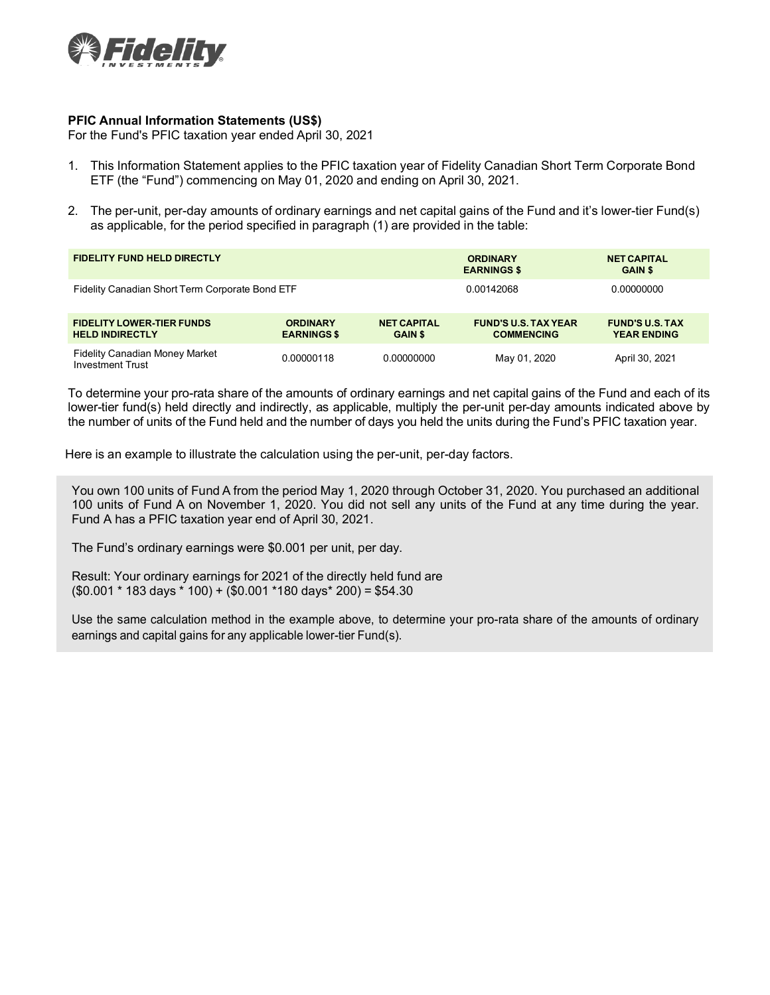

## **PFIC Annual Information Statements (US\$)**

For the Fund's PFIC taxation year ended April 30, 2021

- 1. This Information Statement applies to the PFIC taxation year of Fidelity Canadian Short Term Corporate Bond ETF (the "Fund") commencing on May 01, 2020 and ending on April 30, 2021.
- 2. The per-unit, per-day amounts of ordinary earnings and net capital gains of the Fund and it's lower-tier Fund(s) as applicable, for the period specified in paragraph (1) are provided in the table:

| <b>FIDELITY FUND HELD DIRECTLY</b>                               |                                       |                                      | <b>ORDINARY</b><br><b>EARNINGS \$</b>            | <b>NET CAPITAL</b><br><b>GAIN \$</b>         |
|------------------------------------------------------------------|---------------------------------------|--------------------------------------|--------------------------------------------------|----------------------------------------------|
| Fidelity Canadian Short Term Corporate Bond ETF                  |                                       |                                      | 0.00142068                                       | 0.00000000                                   |
| <b>FIDELITY LOWER-TIER FUNDS</b><br><b>HELD INDIRECTLY</b>       | <b>ORDINARY</b><br><b>EARNINGS \$</b> | <b>NET CAPITAL</b><br><b>GAIN \$</b> | <b>FUND'S U.S. TAX YEAR</b><br><b>COMMENCING</b> | <b>FUND'S U.S. TAX</b><br><b>YEAR ENDING</b> |
| <b>Fidelity Canadian Money Market</b><br><b>Investment Trust</b> | 0.00000118                            | 0.00000000                           | May 01, 2020                                     | April 30, 2021                               |

To determine your pro-rata share of the amounts of ordinary earnings and net capital gains of the Fund and each of its lower-tier fund(s) held directly and indirectly, as applicable, multiply the per-unit per-day amounts indicated above by the number of units of the Fund held and the number of days you held the units during the Fund's PFIC taxation year.

Here is an example to illustrate the calculation using the per-unit, per-day factors.

You own 100 units of Fund A from the period May 1, 2020 through October 31, 2020. You purchased an additional 100 units of Fund A on November 1, 2020. You did not sell any units of the Fund at any time during the year. Fund A has a PFIC taxation year end of April 30, 2021.

The Fund's ordinary earnings were \$0.001 per unit, per day.

Result: Your ordinary earnings for 2021 of the directly held fund are (\$0.001 \* 183 days \* 100) + (\$0.001 \*180 days\* 200) = \$54.30

Use the same calculation method in the example above, to determine your pro-rata share of the amounts of ordinary earnings and capital gains for any applicable lower-tier Fund(s).